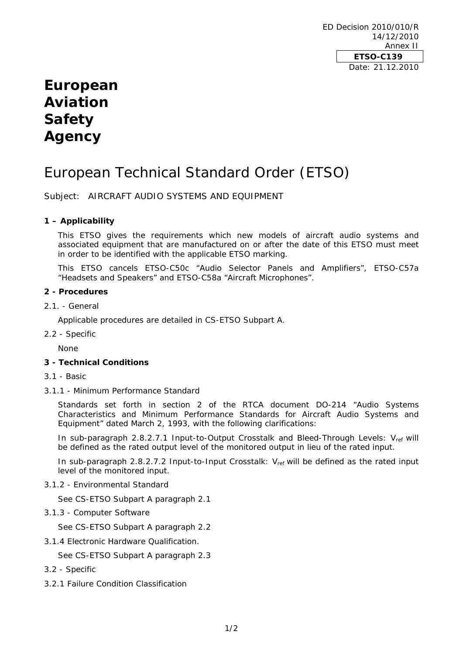ED Decision 2010/010/R 14/12/2010 Annex II **ETSO-C139**  Date: 21.12.2010

## **European Aviation Safety Agency**

# European Technical Standard Order (ETSO)

Subject: AIRCRAFT AUDIO SYSTEMS AND EQUIPMENT

#### **1 – Applicability**

This ETSO gives the requirements which new models of aircraft audio systems and associated equipment that are manufactured on or after the date of this ETSO must meet in order to be identified with the applicable ETSO marking.

This ETSO cancels ETSO-C50c "Audio Selector Panels and Amplifiers", ETSO-C57a "Headsets and Speakers" and ETSO-C58a "Aircraft Microphones".

#### **2 - Procedures**

2.1. - General

Applicable procedures are detailed in CS-ETSO Subpart A.

2.2 - Specific

None

#### **3 - Technical Conditions**

- 3.1 Basic
- 3.1.1 Minimum Performance Standard

Standards set forth in section 2 of the RTCA document DO-214 "Audio Systems Characteristics and Minimum Performance Standards for Aircraft Audio Systems and Equipment" dated March 2, 1993, with the following clarifications:

In sub-paragraph 2.8.2.7.1 Input-to-Output Crosstalk and Bleed-Through Levels:  $V_{ref}$  will be defined as the rated output level of the monitored output in lieu of the rated input.

In sub-paragraph 2.8.2.7.2 Input-to-Input Crosstalk:  $V_{ref}$  will be defined as the rated input level of the monitored input.

3.1.2 - Environmental Standard

See CS-ETSO Subpart A paragraph 2.1

3.1.3 - Computer Software

See CS-ETSO Subpart A paragraph 2.2

3.1.4 Electronic Hardware Qualification.

See CS-ETSO Subpart A paragraph 2.3

- 3.2 Specific
- 3.2.1 Failure Condition Classification